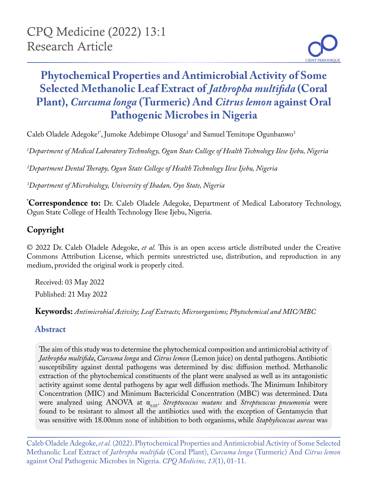# **Phytochemical Properties and Antimicrobial Activity of Some Selected Methanolic Leaf Extract of** *Jathropha multifida* **(Coral Plant),** *Curcuma longa* **(Turmeric) And** *Citrus lemon* **against Oral Pathogenic Microbes in Nigeria**

Caleb Oladele Adegoke<sup>1</sup>\*, Jumoke Adebimpe Olusoga<sup>2</sup> and Samuel Temitope Ogunbanwo<sup>3</sup>

*1 Department of Medical Laboratory Technology, Ogun State College of Health Technology Ilese Ijebu, Nigeria*

*2 Department Dental Therapy, Ogun State College of Health Technology Ilese Ijebu, Nigeria*

*3 Department of Microbiology, University of Ibadan, Oyo State, Nigeria*

**\* Correspondence to:** Dr. Caleb Oladele Adegoke, Department of Medical Laboratory Technology, Ogun State College of Health Technology Ilese Ijebu, Nigeria.

# **Copyright**

© 2022 Dr. Caleb Oladele Adegoke, *et al.* This is an open access article distributed under the Creative Commons Attribution License, which permits unrestricted use, distribution, and reproduction in any medium, provided the original work is properly cited.

Received: 03 May 2022 Published: 21 May 2022

**Keywords:** *Antimicrobial Activity; Leaf Extracts; Microorganisms; Phytochemical and MIC/MBC*

# **Abstract**

The aim of this study was to determine the phytochemical composition and antimicrobial activity of *Jathropha multifida*, *Curcuma longa* and *Citrus lemon* (Lemon juice) on dental pathogens. Antibiotic susceptibility against dental pathogens was determined by disc diffusion method. Methanolic extraction of the phytochemical constituents of the plant were analysed as well as its antagonistic activity against some dental pathogens by agar well diffusion methods. The Minimum Inhibitory Concentration (MIC) and Minimum Bactericidal Concentration (MBC) was determined. Data were analyzed using ANOVA at α<sub>0.05</sub>. *Streptococcus mutans* and *Streptococcus pneumonia* were found to be resistant to almost all the antibiotics used with the exception of Gentamycin that was sensitive with 18.00mm zone of inhibition to both organisms, while *Staphylococcus aureus* was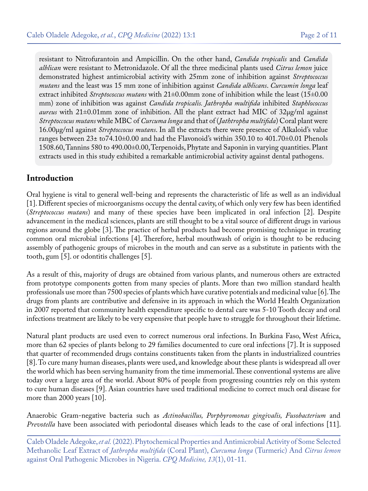resistant to Nitrofurantoin and Ampicillin. On the other hand, *Candida tropicalis* and *Candida alblican* were resistant to Metronidazole. Of all the three medicinal plants used *Citrus lemon* juice demonstrated highest antimicrobial activity with 25mm zone of inhibition against *Streptococcus mutans* and the least was 15 mm zone of inhibition against *Candida alblicans*. *Curcumin longa* leaf extract inhibited *Streptococcus mutans* with 21±0.00mm zone of inhibition while the least (15±0.00 mm) zone of inhibition was against *Candida tropicalis. Jathropha multifida* inhibited *Staphlococcus aureus* with 21±0.01mm zone of inhibition. All the plant extract had MIC of 32µg/ml against *Streptoccocus mutans* while MBC of *Curcuma longa* and that of (*Jathtropha multifida*) Coral plant were 16.00µg/ml against *Streptoccocus mutans*. In all the extracts there were presence of Alkaloid's value ranges between 23± to74.10±0.00 and had the Flavonoid's within 350.10 to 401.70±0.01 Phenols 1508.60, Tannins 580 to 490.00±0.00, Terpenoids, Phytate and Saponin in varying quantities. Plant extracts used in this study exhibited a remarkable antimicrobial activity against dental pathogens.

# **Introduction**

Oral hygiene is vital to general well-being and represents the characteristic of life as well as an individual [1]. Different species of microorganisms occupy the dental cavity, of which only very few has been identified (*Streptococcus mutans*) and many of these species have been implicated in oral infection [2]. Despite advancement in the medical sciences, plants are still thought to be a vital source of different drugs in various regions around the globe [3]. The practice of herbal products had become promising technique in treating common oral microbial infections [4]. Therefore, herbal mouthwash of origin is thought to be reducing assembly of pathogenic groups of microbes in the mouth and can serve as a substitute in patients with the tooth, gum [5]. or odontitis challenges [5].

As a result of this, majority of drugs are obtained from various plants, and numerous others are extracted from prototype components gotten from many species of plants. More than two million standard health professionals use more than 7500 species of plants which have curative potentials and medicinal value [6]. The drugs from plants are contributive and defensive in its approach in which the World Health Organization in 2007 reported that community health expenditure specific to dental care was 5-10 Tooth decay and oral infections treatment are likely to be very expensive that people have to struggle for throughout their lifetime.

Natural plant products are used even to correct numerous oral infections. In Burkina Faso, West Africa, more than 62 species of plants belong to 29 families documented to cure oral infections [7]. It is supposed that quarter of recommended drugs contains constituents taken from the plants in industrialized countries [8]. To cure many human diseases, plants were used, and knowledge about these plants is widespread all over the world which has been serving humanity from the time immemorial. These conventional systems are alive today over a large area of the world. About 80% of people from progressing countries rely on this system to cure human diseases [9]. Asian countries have used traditional medicine to correct much oral disease for more than 2000 years [10].

Anaerobic Gram-negative bacteria such as *Actinobacillus, Porphyromonas gingivalis, Fusobacterium* and *Prevotella* have been associated with periodontal diseases which leads to the case of oral infections [11].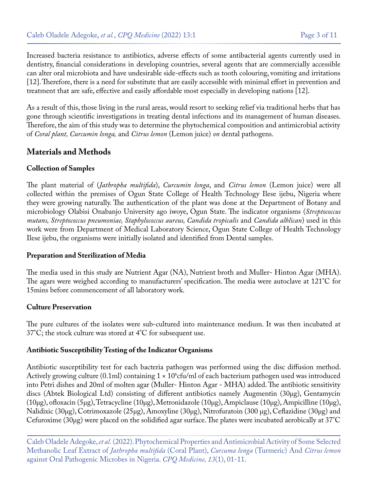Increased bacteria resistance to antibiotics, adverse effects of some antibacterial agents currently used in dentistry, financial considerations in developing countries, several agents that are commercially accessible can alter oral microbiota and have undesirable side-effects such as tooth colouring, vomiting and irritations [12]. Therefore, there is a need for substitute that are easily accessible with minimal effort in prevention and treatment that are safe, effective and easily affordable most especially in developing nations [12].

As a result of this, those living in the rural areas, would resort to seeking relief via traditional herbs that has gone through scientific investigations in treating dental infections and its management of human diseases. Therefore, the aim of this study was to determine the phytochemical composition and antimicrobial activity of *Coral plant, Curcumin longa,* and *Citrus lemon* (Lemon juice) *on* dental pathogens.

# **Materials and Methods**

#### **Collection of Samples**

The plant material of (*Jathropha multifida*), *Curcumin longa*, and *Citrus lemon* (Lemon juice) were all collected within the premises of Ogun State College of Health Technology Ilese ijebu, Nigeria where they were growing naturally. The authentication of the plant was done at the Department of Botany and microbiology Olabisi Onabanjo University ago iwoye, Ogun State. The indicator organisms (*Streptococcus mutans, Streptococcus pneumoniae, Staphylococcus aureus, Candida tropicalis* and *Candida alblican*) used in this work were from Department of Medical Laboratory Science, Ogun State College of Health Technology Ilese ijebu, the organisms were initially isolated and identified from Dental samples.

#### **Preparation and Sterilization of Media**

The media used in this study are Nutrient Agar (NA), Nutrient broth and Muller- Hinton Agar (MHA). The agars were weighed according to manufacturers' specification. The media were autoclave at 121°C for 15mins before commencement of all laboratory work.

#### **Culture Preservation**

The pure cultures of the isolates were sub-cultured into maintenance medium. It was then incubated at 37°C; the stock culture was stored at 4°C for subsequent use.

#### **Antibiotic Susceptibility Testing of the Indicator Organisms**

Antibiotic susceptibility test for each bacteria pathogen was performed using the disc diffusion method. Actively growing culture (0.1ml) containing 1 × 10°cfu/ml of each bacterium pathogen used was introduced into Petri dishes and 20ml of molten agar (Muller- Hinton Agar - MHA) added. The antibiotic sensitivity discs (Abtek Biological Ltd) consisting of different antibiotics namely Augmentin (30µg), Gentamycin (10µg), ofloxacin (5µg), Tetracycline (10µg), Metronidazole (10µg), Ampiclause (10µg), Ampicilline (10µg), Nalidixic (30µg), Cotrimoxazole (25µg), Amoxyline (30µg), Nitrofuratoin (300 µg), Ceflazidine (30µg) and Cefuroxime (30µg) were placed on the solidified agar surface. The plates were incubated aerobically at 37°C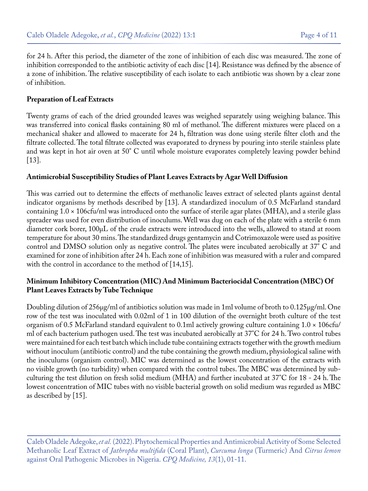for 24 h. After this period, the diameter of the zone of inhibition of each disc was measured. The zone of inhibition corresponded to the antibiotic activity of each disc [14]. Resistance was defined by the absence of a zone of inhibition. The relative susceptibility of each isolate to each antibiotic was shown by a clear zone of inhibition.

#### **Preparation of Leaf Extracts**

Twenty grams of each of the dried grounded leaves was weighed separately using weighing balance. This was transferred into conical flasks containing 80 ml of methanol. The different mixtures were placed on a mechanical shaker and allowed to macerate for 24 h, filtration was done using sterile filter cloth and the filtrate collected. The total filtrate collected was evaporated to dryness by pouring into sterile stainless plate and was kept in hot air oven at 50° C until whole moisture evaporates completely leaving powder behind [13].

#### **Antimicrobial Susceptibility Studies of Plant Leaves Extracts by Agar Well Diffusion**

This was carried out to determine the effects of methanolic leaves extract of selected plants against dental indicator organisms by methods described by [13]. A standardized inoculum of 0.5 McFarland standard containing 1.0 × 106cfu/ml was introduced onto the surface of sterile agar plates (MHA), and a sterile glass spreader was used for even distribution of inoculums. Well was dug on each of the plate with a sterile 6 mm diameter cork borer, 100µL of the crude extracts were introduced into the wells, allowed to stand at room temperature for about 30 mins. The standardized drugs gentamycin and Cotrimoxazole were used as positive control and DMSO solution only as negative control. The plates were incubated aerobically at 37° C and examined for zone of inhibition after 24 h. Each zone of inhibition was measured with a ruler and compared with the control in accordance to the method of [14,15].

#### **Minimum Inhibitory Concentration (MIC) And Minimum Bacteriocidal Concentration (MBC) Of Plant Leaves Extracts by Tube Technique**

Doubling dilution of 256µg/ml of antibiotics solution was made in 1ml volume of broth to 0.125µg/ml. One row of the test was inoculated with 0.02ml of 1 in 100 dilution of the overnight broth culture of the test organism of 0.5 McFarland standard equivalent to 0.1ml actively growing culture containing 1.0 × 106cfu/ ml of each bacterium pathogen used. The test was incubated aerobically at 37°C for 24 h. Two control tubes were maintained for each test batch which include tube containing extracts together with the growth medium without inoculum (antibiotic control) and the tube containing the growth medium, physiological saline with the inoculums (organism control). MIC was determined as the lowest concentration of the extracts with no visible growth (no turbidity) when compared with the control tubes. The MBC was determined by subculturing the test dilution on fresh solid medium (MHA) and further incubated at 37°C for 18 - 24 h. The lowest concentration of MIC tubes with no visible bacterial growth on solid medium was regarded as MBC as described by [15].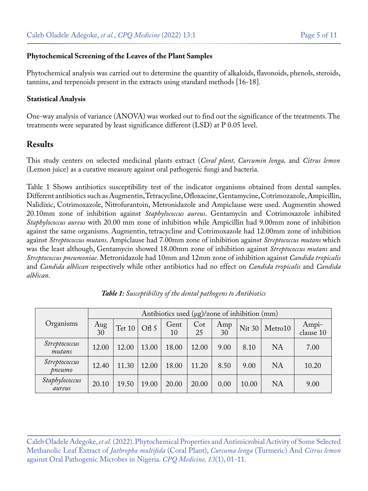#### **Phytochemical Screening of the Leaves of the Plant Samples**

Phytochemical analysis was carried out to determine the quantity of alkaloids, flavonoids, phenols, steroids, tannins, and terpenoids present in the extracts using standard methods [16-18].

#### **Statistical Analysis**

One-way analysis of variance (ANOVA) was worked out to find out the significance of the treatments. The treatments were separated by least significance different (LSD) at P 0.05 level.

### **Results**

This study centers on selected medicinal plants extract (*Coral plant, Curcumin longa,* and *Citrus lemon* (Lemon juice) as a curative measure against oral pathogenic fungi and bacteria.

Table 1 Shows antibiotics susceptibility test of the indicator organisms obtained from dental samples. Different antibiotics such as Augmentin, Tetracycline, Ofloxacine, Gentamycine, Cotrimozazole, Ampicillin, Nalidixic, Cotrimoxazole, Nitrofurantoin, Metronidazole and Ampiclause were used. Augmentin showed 20.10mm zone of inhibition against *Staphylococcus aureus*. Gentamycin and Cotrimoxazole inhibited *Staphylococcus aureus* with 20.00 mm zone of inhibition while Ampicillin had 9.00mm zone of inhibition against the same organisms. Augmentin, tetracycline and Cotrimoxazole had 12.00mm zone of inhibition against *Streptococcus mutans*. Ampiclause had 7.00mm zone of inhibition against *Streptococcus mutans* which was the least although, Gentamycin showed 18.00mm zone of inhibition against *Streptococcus mutans* and *Streptococcus pneumoniae*. Metronidazole had 10mm and 12mm zone of inhibition against *Candida tropicalis* and *Candida alblican* respectively while other antibiotics had no effect on *Candida tropicalis* and *Candida alblican*.

|                          | Antibiotics used $(\mu g)/z$ one of inhibition (mm) |        |       |            |              |           |               |           |                    |
|--------------------------|-----------------------------------------------------|--------|-------|------------|--------------|-----------|---------------|-----------|--------------------|
| Organisms                | $\frac{\text{Aug}}{30}$                             | Tet 10 | Of 5  | Gent<br>10 | $\cot$<br>25 | Amp<br>30 | <b>Nit 30</b> | Metro10   | Ampi-<br>clause 10 |
| Streptococcus<br>mutans  | 12.00                                               | 12.00  | 13.00 | 18.00      | 12.00        | 9.00      | 8.10          | <b>NA</b> | 7.00               |
| Streptococcus<br>pneumo  | 12.40                                               | 11.30  | 12.00 | 18.00      | 11.20        | 8.50      | 9.00          | <b>NA</b> | 10.20              |
| Staphylococcus<br>aureus | 20.10                                               | 19.50  | 19.00 | 20.00      | 20.00        | 0.00      | 10.00         | <b>NA</b> | 9.00               |

*Table 1: Susceptibility of the dental pathogens to Antibiotics*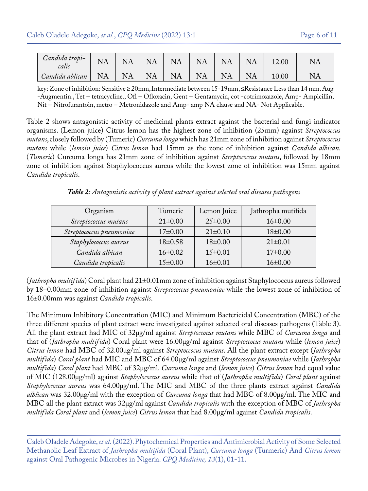| Candida tropi-<br>calis | NA        |                                | $\Delta$<br>N   | NA | $N$ .<br>ΝA     | $\Delta A$ | NΑ | $-2.00$ | NA |
|-------------------------|-----------|--------------------------------|-----------------|----|-----------------|------------|----|---------|----|
| Candida ablican         | <b>NA</b> | $\mathsf{I}$ $\mathsf{A}$<br>N | $\Delta V$<br>N | NA | $N\Delta$<br>NA | NA         |    | 10.00   | NA |

key: Zone of inhibition: Sensitive ≥ 20mm, Intermediate between 15-19mm, ≤Resistance Less than 14 mm. Aug -Augmentin., Tet – tetracycline., Ofl – Ofloxacin, Gent – Gentamycin, cot -cotrimoxazole, Amp- Ampicillin, Nit – Nitrofurantoin, metro – Metronidazole and Amp- amp NA clause and NA- Not Applicable.

Table 2 shows antagonistic activity of medicinal plants extract against the bacterial and fungi indicator organisms. (Lemon juice) Citrus lemon has the highest zone of inhibition (25mm) against *Streptococcus mutans*, closely followed by (Tumeric) *Curcuma longa* which has 21mm zone of inhibition against *Streptococcus mutans* while (*lemoin juice*) *Citrus lemon* had 15mm as the zone of inhibition against *Candida albican*. (*Tumeric*) Curcuma longa has 21mm zone of inhibition against *Streptococcus mutans*, followed by 18mm zone of inhibition against Staphylococcus aureus while the lowest zone of inhibition was 15mm against *Candida tropicalis*.

*Table 2: Antagonistic activity of plant extract against selected oral diseases pathogens*

| Organism                 | Tumeric       | Lemon Juice   | Jathropha mutifida |  |
|--------------------------|---------------|---------------|--------------------|--|
| Streptococcus mutans     | $21 \pm 0.00$ | $25 \pm 0.00$ | $16\pm0.00$        |  |
| Streptococcus pneumoniae | $17\pm0.00$   | $21 \pm 0.10$ | $18 \pm 0.00$      |  |
| Staphylococcus aureus    | $18 \pm 0.58$ | $18 \pm 0.00$ | $21 \pm 0.01$      |  |
| Candida albican          | $16 \pm 0.02$ | $15 \pm 0.01$ | $17\pm0.00$        |  |
| Candida tropicalis       | $15\pm0.00$   | $16\pm0.01$   | $16\pm0.00$        |  |

(*Jathropha multifida*) Coral plant had 21±0.01mm zone of inhibition against Staphylococcus aureus followed by 18±0.00mm zone of inhibition against *Streptococcus pneumoniae* while the lowest zone of inhibition of 16±0.00mm was against *Candida tropicalis*.

The Minimum Inhibitory Concentration (MIC) and Minimum Bactericidal Concentration (MBC) of the three different species of plant extract were investigated against selected oral diseases pathogens (Table 3). All the plant extract had MIC of 32µg/ml against *Streptoccocus mutans* while MBC of *Curcuma longa* and that of (*Jathropha multifida*) Coral plant were 16.00µg/ml against *Streptoccocus mutans* while (*lemon juice*) *Citrus lemon* had MBC of 32.00µg/ml against *Streptoccocus mutans*. All the plant extract except (*Jathropha multifida*) *Coral plant* had MIC and MBC of 64.00µg/ml against *Streptococcus pneumoniae* while (*Jathropha multifida*) *Coral plant* had MBC of 32µg/ml. *Curcuma longa* and (*lemon juice*) *Citrus lemon* had equal value of MIC (128.00µg/ml) against *Staphylococcus aureus* while that of (*Jathropha multifida*) *Coral plant* against *Staphylococcus aureus* was 64.00µg/ml. The MIC and MBC of the three plants extract against *Candida alblican* was 32.00µg/ml with the exception of *Curcuma longa* that had MBC of 8.00µg/ml. The MIC and MBC all the plant extract was 32µg/ml against *Candida tropicalis* with the exception of MBC of *Jathropha multifida Coral plant* and (*lemon juice*) *Citrus lemon* that had 8.00µg/ml against *Candida tropicalis*.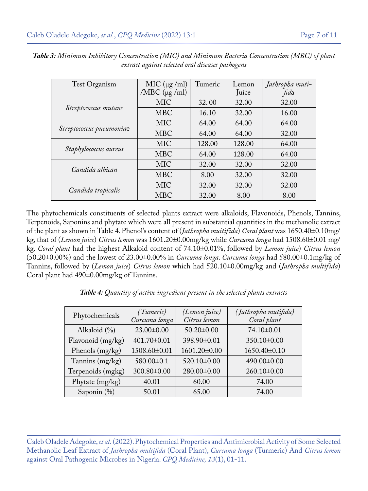| Test Organism            | MIC ( $\mu$ g /ml)<br>/MBC $(\mu g$ /ml) | Tumeric | Lemon<br>Juice | Jathropha muti-<br>fida |
|--------------------------|------------------------------------------|---------|----------------|-------------------------|
|                          | <b>MIC</b>                               | 32.00   | 32.00          | 32.00                   |
| Streptococcus mutans     | <b>MBC</b>                               | 16.10   | 32.00          | 16.00                   |
|                          | <b>MIC</b>                               | 64.00   | 64.00          | 64.00                   |
| Streptococcus pneumoniae | <b>MBC</b>                               | 64.00   | 64.00          | 32.00                   |
|                          | <b>MIC</b>                               | 128.00  | 128.00         | 64.00                   |
| Staphylococcus aureus    | <b>MBC</b>                               | 64.00   | 128.00         | 64.00                   |
|                          | <b>MIC</b>                               | 32.00   | 32.00          | 32.00                   |
| Candida albican          | <b>MBC</b>                               | 8.00    | 32.00          | 32.00                   |
|                          | <b>MIC</b>                               | 32.00   | 32.00          | 32.00                   |
| Candida tropicalis       | <b>MBC</b>                               | 32.00   | 8.00           | 8.00                    |

*Table 3: Minimum Inhibitory Concentration (MIC) and Minimum Bacteria Concentration (MBC) of plant extract against selected oral diseases pathogens*

The phytochemicals constituents of selected plants extract were alkaloids, Flavonoids, Phenols, Tannins, Terpenoids, Saponins and phytate which were all present in substantial quantities in the methanolic extract of the plant as shown in Table 4. Phenol's content of (*Jathropha muitifida*) *Coral plant* was 1650.40±0.10mg/ kg, that of (*Lemon juice*) *Citrus lemon* was 1601.20±0.00mg/kg while *Curcuma longa* had 1508.60±0.01 mg/ kg. *Coral plant* had the highest Alkaloid content of 74.10±0.01%, followed by *Lemon juice*) *Citrus lemon*  (50.20±0.00%) and the lowest of 23.00±0.00% in *Curcuma longa*. *Curcuma longa* had 580.00±0.1mg/kg of Tannins, followed by (*Lemon juice*) *Citrus lemon* which had 520.10±0.00mg/kg and (*Jathropha multifida*) Coral plant had 490±0.00mg/kg of Tannins.

| <b>Table 4:</b> Quantity of active ingredient present in the selected plants extracts |  |
|---------------------------------------------------------------------------------------|--|
|---------------------------------------------------------------------------------------|--|

| Phytochemicals    | (Tumeric)<br>Curcuma longa | (Lemon juice)<br>Citrus lemon | (Jathropha mutifida)<br>Coral plant |  |
|-------------------|----------------------------|-------------------------------|-------------------------------------|--|
| Alkaloid $(\% )$  | $23.00 \pm 0.00$           | $50.20 \pm 0.00$              | 74.10±0.01                          |  |
| Flavonoid (mg/kg) | 401.70±0.01                | 398.90±0.01                   | 350.10±0.00                         |  |
| Phenols (mg/kg)   | 1508.60±0.01               | 1601.20±0.00                  | 1650.40±0.10                        |  |
| Tannins (mg/kg)   | 580.00±0.1                 | 520.10±0.00                   | 490.00±0.00                         |  |
| Terpenoids (mgkg) | 300.80±0.00                | 280.00±0.00                   | 260.10±0.00                         |  |
| Phytate (mg/kg)   | 40.01                      | 60.00                         | 74.00                               |  |
| Saponin (%)       | 50.01                      | 65.00                         | 74.00                               |  |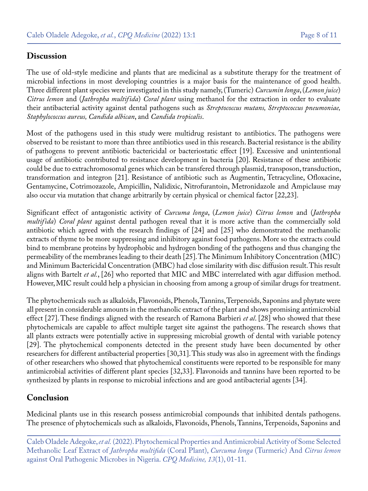### **Discussion**

The use of old-style medicine and plants that are medicinal as a substitute therapy for the treatment of microbial infections in most developing countries is a major basis for the maintenance of good health. Three different plant species were investigated in this study namely, (Tumeric) *Curcumin longa*, (*Lemon juice*) *Citrus lemon* and (*Jathropha multifida*) *Coral plant* using methanol for the extraction in order to evaluate their antibacterial activity against dental pathogens such as *Streptococcus mutans, Streptococcus pneumoniae, Staphylococcus aureus, Candida albican*, and *Candida tropicalis*.

Most of the pathogens used in this study were multidrug resistant to antibiotics. The pathogens were observed to be resistant to more than three antibiotics used in this research. Bacterial resistance is the ability of pathogens to prevent antibiotic bactericidal or bacteriostatic effect [19]. Excessive and unintentional usage of antibiotic contributed to resistance development in bacteria [20]. Resistance of these antibiotic could be due to extrachromosomal genes which can be transfered through plasmid, transposon, transduction, transformation and integron [21]. Resistance of antibiotic such as Augmentin, Tetracycline, Ofloxacine, Gentamycine, Cotrimozazole, Ampicillin, Nalidixic, Nitrofurantoin, Metronidazole and Ampiclause may also occur via mutation that change arbitrarily by certain physical or chemical factor [22,23].

Significant effect of antagonistic activity of *Curcuma longa*, (*Lemon juice*) *Citrus lemon* and (*Jathropha multifida*) *Coral plant* against dental pathogen reveal that it is more active than the commercially sold antibiotic which agreed with the research findings of [24] and [25] who demonstrated the methanolic extracts of thyme to be more suppressing and inhibitory against food pathogens. More so the extracts could bind to membrane proteins by hydrophobic and hydrogen bonding of the pathogens and thus changing the permeability of the membranes leading to their death [25]. The Minimum Inhibitory Concentration (MIC) and Minimum Bactericidal Concentration (MBC) had close similarity with disc diffusion result. This result aligns with Bartelt *et al.*, [26] who reported that MIC and MBC interrelated with agar diffusion method. However, MIC result could help a physician in choosing from among a group of similar drugs for treatment.

The phytochemicals such as alkaloids, Flavonoids, Phenols, Tannins, Terpenoids, Saponins and phytate were all present in considerable amounts in the methanolic extract of the plant and shows promising antimicrobial effect [27]. These findings aligned with the research of Ramona Barbieri *et al*. [28] who showed that these phytochemicals are capable to affect multiple target site against the pathogens. The research shows that all plants extracts were potentially active in suppressing microbial growth of dental with variable potency [29]. The phytochemical components detected in the present study have been documented by other researchers for different antibacterial properties [30,31]. This study was also in agreement with the findings of other researchers who showed that phytochemical constituents were reported to be responsible for many antimicrobial activities of different plant species [32,33]. Flavonoids and tannins have been reported to be synthesized by plants in response to microbial infections and are good antibacterial agents [34].

# **Conclusion**

Medicinal plants use in this research possess antimicrobial compounds that inhibited dentals pathogens. The presence of phytochemicals such as alkaloids, Flavonoids, Phenols, Tannins, Terpenoids, Saponins and

Caleb Oladele Adegoke, *et al.* (2022). Phytochemical Properties and Antimicrobial Activity of Some Selected Methanolic Leaf Extract of *Jathropha multifida* (Coral Plant), *Curcuma longa* (Turmeric) And *Citrus lemon* against Oral Pathogenic Microbes in Nigeria. *CPQ Medicine, 13*(1), 01-11.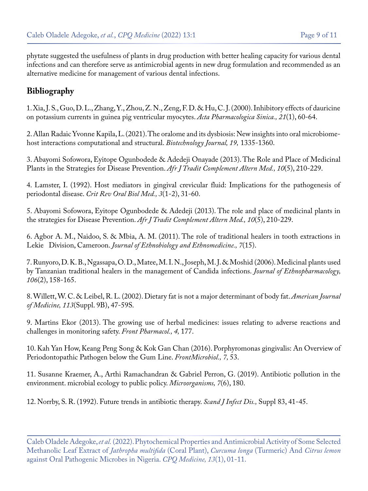phytate suggested the usefulness of plants in drug production with better healing capacity for various dental infections and can therefore serve as antimicrobial agents in new drug formulation and recommended as an alternative medicine for management of various dental infections.

# **Bibliography**

1. [Xia, J. S., Guo, D. L., Zhang, Y., Zhou, Z. N., Zeng, F. D. & Hu, C. J. \(2000\). Inhibitory effects of dauricine](https://pubmed.ncbi.nlm.nih.gov/11263249/)  [on potassium currents in guinea pig ventricular myocytes.](https://pubmed.ncbi.nlm.nih.gov/11263249/) *Acta Pharmacologica Sinica., 21*(1), 60-64.

2. [Allan Radaic Yvonne Kapila, L. \(2021\). The oralome and its dysbiosis: New insights into oral microbiome](https://pubmed.ncbi.nlm.nih.gov/33777334/)[host interactions computational and structural.](https://pubmed.ncbi.nlm.nih.gov/33777334/) *Biotechnology Journal, 19,* 1335-1360.

3. [Abayomi Sofowora, Eyitope Ogunbodede & Adedeji Onayade \(2013\). The Role and Place of Medicinal](https://www.ncbi.nlm.nih.gov/pmc/articles/PMC3847409/) [Plants in the Strategies for Disease Prevention.](https://www.ncbi.nlm.nih.gov/pmc/articles/PMC3847409/) *Afr J Tradit Complement Altern Med., 10*(5), 210-229.

4. [Lamster, I. \(1992\). Host mediators in gingival crevicular fluid: Implications for the pathogenesis of](https://pubmed.ncbi.nlm.nih.gov/1730070/)  periodontal disease. *[Crit Rev Oral Biol Med., 3](https://pubmed.ncbi.nlm.nih.gov/1730070/)*(1-2), 31-60.

5. [Abayomi Sofowora, Eyitope Ogunbodede & Adedeji \(2013\). The role and place of medicinal plants in](https://pubmed.ncbi.nlm.nih.gov/24311829/)  the strategies for Disease Prevention. *[Afr J Tradit Complement Altern Med., 10](https://pubmed.ncbi.nlm.nih.gov/24311829/)*(5), 210-229.

6. [Agbor A. M., Naidoo, S. & Mbia, A. M. \(2011\). The role of traditional healers in tooth extractions in](https://pubmed.ncbi.nlm.nih.gov/21624132/)  Lekie Division, Cameroon. *[Journal of Ethnobiology and Ethnomedicine., 7](https://pubmed.ncbi.nlm.nih.gov/21624132/)*(15).

7. [Runyoro, D. K. B., Ngassapa, O. D., Matee, M. I. N., Joseph, M. J. & Moshid \(2006\). Medicinal plants used](https://pubmed.ncbi.nlm.nih.gov/16458463/) [by Tanzanian traditional healers in the management of Candida infections.](https://pubmed.ncbi.nlm.nih.gov/16458463/) *Journal of Ethnopharmacology, 106*[\(2\), 158-165.](https://pubmed.ncbi.nlm.nih.gov/16458463/)

8. [Willett, W. C. & Leibel, R. L. \(2002\). Dietary fat is not a major determinant of body fat.](https://pubmed.ncbi.nlm.nih.gov/12566139/) *American Journal of Medicine, 113*[\(Suppl. 9B\), 47-59S.](https://pubmed.ncbi.nlm.nih.gov/12566139/)

9. [Martins Ekor \(2013\). The growing use of herbal medicines: issues relating to adverse reactions and](https://pubmed.ncbi.nlm.nih.gov/24454289/)  [challenges in monitoring safety.](https://pubmed.ncbi.nlm.nih.gov/24454289/) *Front Pharmacol., 4,* 177.

10. [Kah Yan How, Keang Peng Song & Kok Gan Chan \(2016\). Porphyromonas gingivalis: An Overview of](https://pubmed.ncbi.nlm.nih.gov/26903954/) [Periodontopathic Pathogen below the Gum Line.](https://pubmed.ncbi.nlm.nih.gov/26903954/) *FrontMicrobiol., 7,* 53.

11. [Susanne Kraemer, A., Arthi Ramachandran & Gabriel Perron, G. \(2019\). Antibiotic pollution in the](https://www.ncbi.nlm.nih.gov/pmc/articles/PMC6616856/)  [environment. microbial ecology to public policy.](https://www.ncbi.nlm.nih.gov/pmc/articles/PMC6616856/) *Microorganisms, 7*(6), 180.

12. [Norrby, S. R. \(1992\). Future trends in antibiotic therapy.](https://pubmed.ncbi.nlm.nih.gov/1488628/) *Scand J Infect Dis.,* Suppl 83, 41-45.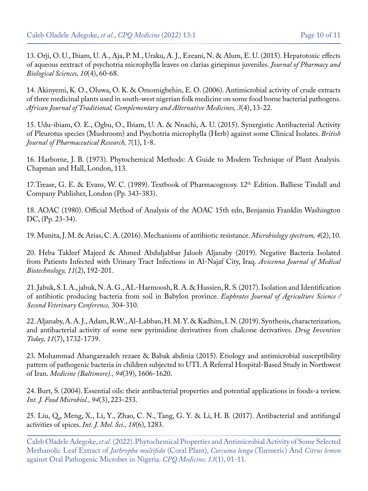13. [Orji, O. U., Ibiam, U. A., Aja, P. M., Uraku, A. J., Ezeani, N. & Alum, E. U. \(2015\). Hepatotoxic effects](https://www.semanticscholar.org/paper/Hepatotoxic-effects-of-Aqueous-Extract-of-leaves-on/32134fcbb8a8e59d47f7cee406602805774d9885) [of aqueous eextract of psychotria microphylla leaves on clarias giriepinus juveniles.](https://www.semanticscholar.org/paper/Hepatotoxic-effects-of-Aqueous-Extract-of-leaves-on/32134fcbb8a8e59d47f7cee406602805774d9885) *Journal of Pharmacy and [Biological Sciences, 10](https://www.semanticscholar.org/paper/Hepatotoxic-effects-of-Aqueous-Extract-of-leaves-on/32134fcbb8a8e59d47f7cee406602805774d9885)*(4), 60-68.

14. [Akinyemi, K. O., Oluwa, O. K. & Omomigbehin, E. O. \(2006\). Antimicrobial activity of crude extracts](https://www.ajol.info/index.php/ajtcam/article/view/31173) [of three medicinal plants used in south-west nigerian folk medicine on some food borne bacterial pathogens.](https://www.ajol.info/index.php/ajtcam/article/view/31173)  *[African Journal of Traditional, Complementary and Alternative Medicines, 3](https://www.ajol.info/index.php/ajtcam/article/view/31173)*(4), 13-22.

15. [Udu-ibiam, O. E., Ogbu, O., Ibiam, U. A. & Nnachi, A. U. \(2015\). Synergistic Antibacterial Activity](https://www.semanticscholar.org/paper/Synergistic-Antibacterial-Activity-of-Pleurotus-and-Udu-ibiam-Ogbu/fe55e159397f496193d79dee6d80fabe144bda63) [of Pleurotus species \(Mushroom\) and Psychotria microphylla \(Herb\) against some Clinical Isolates.](https://www.semanticscholar.org/paper/Synergistic-Antibacterial-Activity-of-Pleurotus-and-Udu-ibiam-Ogbu/fe55e159397f496193d79dee6d80fabe144bda63) *British [Journal of Pharmaceutical Research, 7](https://www.semanticscholar.org/paper/Synergistic-Antibacterial-Activity-of-Pleurotus-and-Udu-ibiam-Ogbu/fe55e159397f496193d79dee6d80fabe144bda63)*(1), 1-8.

16. Harborne, J. B. (1973). Phytochemical Methods: A Guide to Modern Technique of Plant Analysis. Chapman and Hall, London, 113.

17. Trease, G. E. & Evans, W. C. (1989). Textbook of Pharmacognosy. 12<sup>th</sup> Edition. Balliese Tindall and [Company Publisher, London \(Pp. 343-383\).](https://www.scirp.org/%28S%28czeh2tfqyw2orz553k1w0r45%29%29/reference/referencespapers.aspx?referenceid=1104831)

18. AOAC (1980). Official Method of Analysis of the AOAC 15th edn, Benjamin Franklin Washington DC, (Pp. 23-34).

19. [Munita, J. M. & Arias, C. A. \(2016\). Mechanisms of antibiotic resistance.](https://pubmed.ncbi.nlm.nih.gov/27227291/) *Microbiology spectrum, 4*(2), 10.

20. [Heba Takleef Majeed & Ahmed Abduljabbar Jaloob Aljanaby \(2019\). Negative Bacteria Isolated](https://pubmed.ncbi.nlm.nih.gov/31057723/) [from Patients Infected with Urinary Tract Infections in Al-Najaf City, Iraq.](https://pubmed.ncbi.nlm.nih.gov/31057723/) *Avicenna Journal of Medical [Biotechnology, 11](https://pubmed.ncbi.nlm.nih.gov/31057723/)*(2), 192-201.

21. Jabuk, S. I. A., jabuk, N. A. G., AL-Harmoosh, R. A. & Hussien, R. S. (2017). Isolation and Identification of antibiotic producing bacteria from soil in Babylon province. *Euphrates Journal of Agriculture Science / Second Veterinary Conference,* 304-310.

22. Aljanaby, A. A. J., Adam, R.W., Al-Labban, H. M. Y. & Kadhim, I. N. (2019). Synthesis, characterization, and antibacterial activity of some new pyrimidine derivatives from chalcone derivatives. *Drug Invention Today, 11*(7), 1732-1739.

23. [Mohammad Ahangarzadeh rezaee & Babak abdinia \(2015\). Etiology and antimicrobial susceptibility](https://europepmc.org/article/med/26426643) [pattern of pathogenic bacteria in children subjected to UTI. A Referral Hospital-Based Study in Northwest](https://europepmc.org/article/med/26426643) of Iran. *[Medicine \(Baltimore\)., 94](https://europepmc.org/article/med/26426643)*(39), 1606-1620.

24. [Burt, S. \(2004\). Essential oils: their antibacterial properties and potential applications in foods-a review.](https://www.sciencedirect.com/science/article/abs/pii/S0168160504001680) *[Int. J. Food Microbiol., 94](https://www.sciencedirect.com/science/article/abs/pii/S0168160504001680)*(3), 223-253.

25. [Liu, Q., Meng, X., Li, Y., Zhao, C. N., Tang, G. Y. & Li, H. B. \(2017\). Antibacterial and antifungal](https://pubmed.ncbi.nlm.nih.gov/28621716/) [activities of spices.](https://pubmed.ncbi.nlm.nih.gov/28621716/) *Int. J. Mol. Sci., 18*(6), 1283.